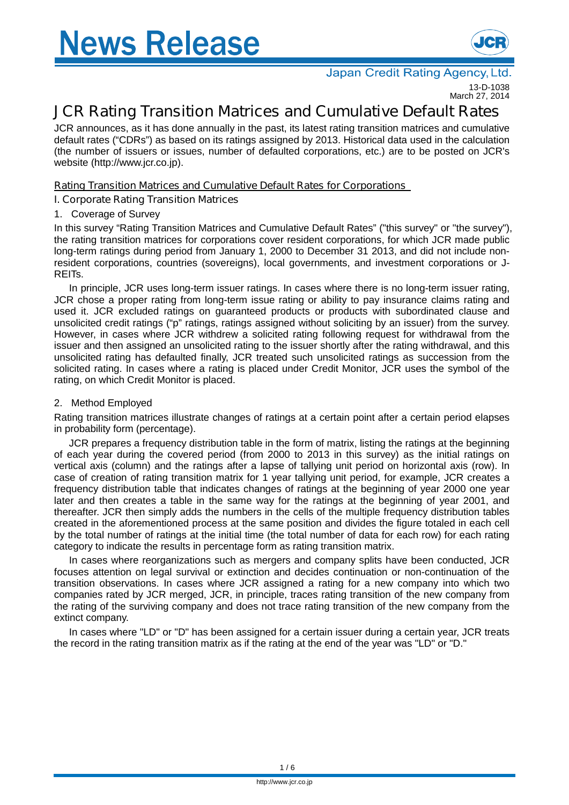

#### Japan Credit Rating Agency, Ltd

13-D-1038 March 27, 2014

# **JCR Rating Transition Matrices and Cumulative Default Rates**

JCR announces, as it has done annually in the past, its latest rating transition matrices and cumulative default rates ("CDRs") as based on its ratings assigned by 2013. Historical data used in the calculation (the number of issuers or issues, number of defaulted corporations, etc.) are to be posted on JCR's website (http://www.jcr.co.jp).

## **Rating Transition Matrices and Cumulative Default Rates for Corporations**

## **I. Corporate Rating Transition Matrices**

#### 1. Coverage of Survey

In this survey "Rating Transition Matrices and Cumulative Default Rates" ("this survey" or "the survey"), the rating transition matrices for corporations cover resident corporations, for which JCR made public long-term ratings during period from January 1, 2000 to December 31 2013, and did not include nonresident corporations, countries (sovereigns), local governments, and investment corporations or J-REITs.

In principle, JCR uses long-term issuer ratings. In cases where there is no long-term issuer rating, JCR chose a proper rating from long-term issue rating or ability to pay insurance claims rating and used it. JCR excluded ratings on guaranteed products or products with subordinated clause and unsolicited credit ratings ("p" ratings, ratings assigned without soliciting by an issuer) from the survey. However, in cases where JCR withdrew a solicited rating following request for withdrawal from the issuer and then assigned an unsolicited rating to the issuer shortly after the rating withdrawal, and this unsolicited rating has defaulted finally, JCR treated such unsolicited ratings as succession from the solicited rating. In cases where a rating is placed under Credit Monitor, JCR uses the symbol of the rating, on which Credit Monitor is placed.

#### 2. Method Employed

Rating transition matrices illustrate changes of ratings at a certain point after a certain period elapses in probability form (percentage).

JCR prepares a frequency distribution table in the form of matrix, listing the ratings at the beginning of each year during the covered period (from 2000 to 2013 in this survey) as the initial ratings on vertical axis (column) and the ratings after a lapse of tallying unit period on horizontal axis (row). In case of creation of rating transition matrix for 1 year tallying unit period, for example, JCR creates a frequency distribution table that indicates changes of ratings at the beginning of year 2000 one year later and then creates a table in the same way for the ratings at the beginning of year 2001, and thereafter. JCR then simply adds the numbers in the cells of the multiple frequency distribution tables created in the aforementioned process at the same position and divides the figure totaled in each cell by the total number of ratings at the initial time (the total number of data for each row) for each rating category to indicate the results in percentage form as rating transition matrix.

In cases where reorganizations such as mergers and company splits have been conducted, JCR focuses attention on legal survival or extinction and decides continuation or non-continuation of the transition observations. In cases where JCR assigned a rating for a new company into which two companies rated by JCR merged, JCR, in principle, traces rating transition of the new company from the rating of the surviving company and does not trace rating transition of the new company from the extinct company.

In cases where "LD" or "D" has been assigned for a certain issuer during a certain year, JCR treats the record in the rating transition matrix as if the rating at the end of the year was "LD" or "D."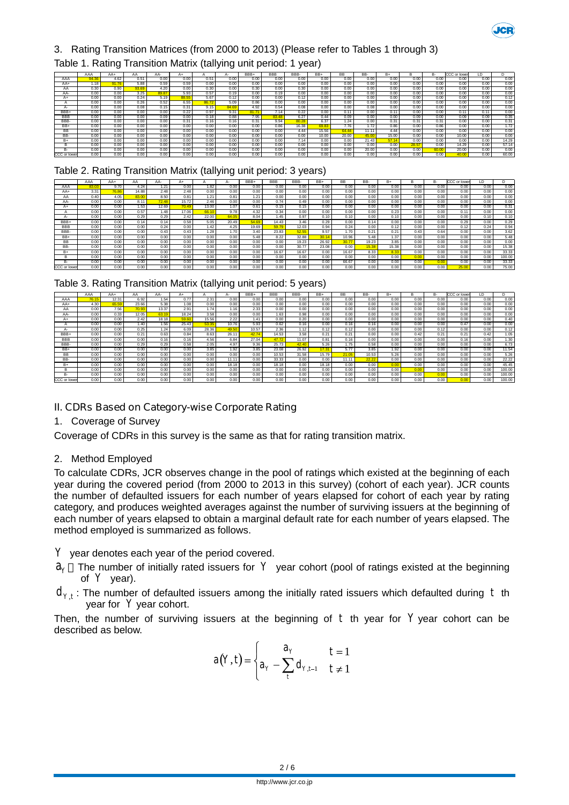

## 3. Rating Transition Matrices (from 2000 to 2013) (Please refer to Tables 1 through 3)

#### Table 1. Rating Transition Matrix (tallying unit period: 1 year)

|              | AAA   | $AA+$ | AΑ    | AA-   | A+    |       |       | BBB+  | <b>BBB</b> | BBB-  | BB+   | <b>BB</b>     | BB-   | B+    |      | в-    | CCC or lower | ID.  |       |
|--------------|-------|-------|-------|-------|-------|-------|-------|-------|------------|-------|-------|---------------|-------|-------|------|-------|--------------|------|-------|
| AAA          | 94.36 | 4.62  | 0.51  | 0.00  | 0.00  | 0.51  | 0.00  | 0.00  | 0.00       | 0.00  | 0.00  | 0.00          | 0.00  | 0.00  | 0.00 | 0.00  | 0.00         | 0.00 | 0.00  |
| $AA+$        | 1.18  | 91.76 | 5.88  | 0.59  | 0.59  | 0.00  | 0.00  | 0.00  | 0.00       | 0.00  | 0.00  | 0.00          | 0.00  | 0.00  | 0.00 | 0.00  | 0.00         | 0.00 | 0.00  |
| AA           | 0.30  | 0.90  | 93.69 | 4.20  | 0.00  | 0.30  | 0.00  | 0.30  | 0.00       | 0.30  | 0.00  | 0.00          | 0.00  | 0.00  | 0.00 | 0.00  | 0.00         | 0.00 | 0.00  |
| AA-          | 0.00  | 0.00  | 3.25  | 89.87 | 5.93  | 0.57  | 0.19  | 0.00  | 0.19       | 0.00  | 0.00  | 0.00          | 0.00  | 0.00  | 0.00 | 0.00  | 0.00         | 0.00 | 0.00  |
| A+           | 0.00  | 0.00  | 0.24  | 5.19  | 88.55 | 5.67  | 0.12  | 0.00  | 0.00       | 0.12  | 0.00  | 0.00          | 0.00  | 0.00  | 0.00 | 0.00  | 0.00         | 0.00 | 0.12  |
|              | 0.00  | 0.00  | 0.26  | 0.52  | 6.55  | 86.72 | 5.09  | 0.86  | 0.00       | 0.00  | 0.00  | 0.00          | 0.00  | 0.00  | 0.00 | 0.00  | 0.00         | 0.00 | 0.00  |
| А-           | 0.00  | 0.00  | 0.08  | 0.15  | 0.31  | 9.15  | 84.69 | 4.92  | 0.54       | 0.08  | 0.00  | 0.00          | 0.08  | 0.00  | 0.00 | 0.00  | 0.00         | 0.00 | 0.00  |
| BBB+         | 0.00  | 0.00  | 0.00  | 0.00  | 0.22  | 0.97  | 9.31  | 81.7' | 7.14       | 0.22  | 0.00  | $0.1^{\circ}$ | 0.00  | 0.11  | 0.00 | 0.00  | 0.11         | 0.11 | 0.00  |
| <b>BBB</b>   | 0.00  | 0.00  | 0.00  | 0.09  | 0.00  | 0.18  | 0.88  | 7.95  | 83.48      | 6.27  | 0.44  | 0.09          | 0.00  | 0.00  | 0.09 | 0.00  | 0.09         | 0.09 | 0.35  |
| BBB-         | 0.00  | 0.00  | 0.00  | 0.00  | 0.31  | 0.16  | 0.16  | 0.31  | 9.94       | 80.28 | 6.37  | 1.24.         | 0.00  | 0.31  | 0.31 | 0.31  | 0.00         | 0.00 | 0.31  |
| BB+          | 0.00  | 0.00  | 0.00  | 0.00  | 0.00  | 0.00  | 0.00  | 0.00  | 0.86       | 16.38 | 69.83 | 7.76          | 1.72  | 0.86  | 0.00 | 0.86  | 0.00         | 0.00 | 1.72  |
| BВ           | 0.00  | 0.00  | 0.00  | 0.00  | 0.00  | 0.00  | 0.00  | 0.00  | 0.00       | 4.44  | 15.56 | 64.44         | 11.11 | 4.44  | 0.00 | 0.00  | 0.00         | 0.00 | 0.00  |
| BB-          | 0.00  | 0.00  | 0.00  | 0.00  | 0.00  | 0.00  | 0.00  | 0.00  | 0.00       | 0.00  | 10.00 | 20.00         | 45.00 | 15.00 | 0.00 | 0.00  | 10.00        | 0.00 | 0.00  |
| B+           | 0.00  | 0.00  | 0.00  | 0.00  | 0.00  | 0.00  | 0.00  | 0.00  | 0.00       | 7.14  | 0.00  | 0.00          | 21.43 | 57.14 | 0.00 | 0.00  | 0.00         | 0.00 | 14.29 |
|              | 0.00  | 0.00  | 0.00  | 0.00  | 0.00  | 0.00  | 0.00  | 0.00  | 0.00       | 0.00  | 0.00  | 0.00          | 0.00  | 0.00  | 28.5 | 0.00  | 14.29        | 0.00 | 57.14 |
| B-           | 0.00  | 0.00  | 0.00  | 0.00  | 0.00  | 0.00  | 0.00  | 0.00  | 0.00       | 0.00  | 0.00  | 0.00          | 20.00 | 0.00  | 0.00 | 60.00 | 20.00        | 0.00 | 0.00  |
| CCC or lower | 0.00  | 0.00  | 0.00  | 0.00  | 0.00  | 0.00  | 0.00  | 0.00  | 0.00       | 0.00  | 0.00  | 0.00          | 0.00  | 0.00  | 0.00 | 0.00  | 40.00        | 0.00 | 60.00 |

## Table 2. Rating Transition Matrix (tallying unit period: 3 years)

|              | AAA  | $AA+$ | AA    | AA-   | A÷    |       | д.    | BBB+  | <b>BBB</b> | BBB-  | BB+   | ВB    | BB-   | $B+$  | B    | B-   | ccc<br>or lower | ΙD   |        |
|--------------|------|-------|-------|-------|-------|-------|-------|-------|------------|-------|-------|-------|-------|-------|------|------|-----------------|------|--------|
| AAA          | 83.0 | 9.70  | 4.24  | 1.21  | 0.00  | 1.82  | 0.00  | 0.00  | 0.00       | 0.00  | 0.00  | 0.00  | 0.00  | 0.00  | 0.00 | 0.00 | 0.00            | 0.00 | 0.00   |
| AA+          | 3.31 | 76.86 | 14.88 | 2.48  | 2.48  | 0.00  | 0.00  | 0.00  | 0.00       | 0.00  | 0.00  | 0.00  | 0.00  | 0.00  | 0.00 | 0.00 | 0.00            | 0.00 | 0.00   |
| AA           | 0.40 | 4.05  | 83.00 | 8.50  | 0.81  | 1.21  | 0.81  | 1.21  | 0.00       | 0.00  | 0.00  | 0.00  | 0.00  | 0.00  | 0.00 | 0.00 | 0.00            | 0.00 | 0.00   |
| AA-          | 0.00 | 0.00  | 8.11  | 72.48 | 15.72 | 2.46  | 0.00  | 0.00  | 0.74       | 0.49  | 0.00  | 0.00  | 0.00  | 0.00  | 0.00 | 0.00 | 0.00            | 0.00 | 0.00   |
|              | 0.00 | 0.00  | 1.53  | 12.69 | 70.49 | 13.00 | 1.07  | 0.61  | 0.15       | 0.15  | 0.00  | 0.00  | 0.00  | 0.00  | 0.00 | 0.00 | 0.00            | 0.00 | 0.31   |
|              | 0.00 | 0.00  | 0.57  | 1.48  | 17.06 | 66.10 | 9.78  | 4.32  | 0.34       | 0.00  | 0.00  | 0.00  | 0.00  | 0.23  | 0.00 | 0.00 | 0.1             | 0.00 | 0.00   |
|              | 0.00 | 0.00  | 0.29  | 0.29  | 2.42  | 22.00 | 64.05 | 8.04  | 1.45       | 0.97  | 0.10  | 0.10  | 0.00  | 0.10  | 0.00 | 0.00 | 0.00            | 0.10 | 0.10   |
| BBB+         | 0.00 | 0.00  | 0.14  | 0.14  | 0.58  | 5.05  | 20.49 | 54.69 | 14.43      | 3.46  | 0.29  | 0.00  | 0.14  | 0.00  | 0.00 | 0.00 | 0.29            | 0.00 | 0.29   |
| <b>BBB</b>   | 0.00 | 0.00  | 0.00  | 0.24  | 0.00  | 1.42  | 4.25  | 19.69 | 59.7       | 12.03 | 0.94  | 0.24  | 0.00  | 0.12  | 0.00 | 0.00 | 0.12            | 0.24 | 0.94   |
| BBB-         | 0.00 | 0.00  | 0.00  | 0.43  | 0.43  | 1.28  | 1.70  | 3.40  | 23.83      | 52.55 | 9.57  | .70   | 0.21  | 0.21  | 0.43 | 0.64 | 0.00            | 0.00 | 3.62   |
| BB+          | 0.00 | 0.00  | 0.00  | 0.00  | 0.00  | 0.00  | 0.00  | 5.48  | 8.22       | 32.88 | 30.14 | 10.96 | 5.48  | 1.37  | 0.00 | 0.00 | 0.00            | 0.00 | 5.48   |
| <b>BB</b>    | 0.00 | 0.00  | 0.00  | 0.00  | 0.00  | 0.00  | 0.00  | 0.00  | 0.00       | 19.23 | 26.92 | 30.77 | 19.23 | 3.85  | 0.00 | 0.00 | 0.00            | 0.00 | 0.00   |
| BB-          | 0.00 | 0.00  | 0.00  | 0.00  | 0.00  | 0.00  | 0.00  | 0.00  | 0.00       | 30.77 | 23.08 | 0.00  | 15.38 | 15.38 | 0.00 | 0.00 | 0.00            | 0.00 | 15.38  |
| $B+$         | 0.00 | 0.00  | 0.00  | 0.00  | 0.00  | 0.00  | 0.00  | 0.00  | 16.67      | 16.67 | 0.00  | 16.67 | 8.33  | 8.33  | 0.00 | 0.00 | 0.00            | 0.00 | 33.33  |
| B            | 0.00 | 0.00  | 0.00  | 0.00  | 0.00  | 0.00  | 0.00  | 0.00  | 0.00       | 0.00  | 0.00  | 0.00  | 0.00  | 0.00  | 0.00 | 0.00 | 0.00            | 0.00 | 100.00 |
| B-           | 0.00 | 0.00  | 0.00  | 0.00  | 0.00  | 0.00  | 0.00  | 0.00  | 0.00       | 0.00  | 0.00  | 66.67 | 0.00  | 0.00  | 0.00 | 0.00 | 0.00            | 0.00 | 33.33  |
| CCC or lower | 0.00 | 0.00  | 0.00  | 0.00  | 0.00  | 0.00  | 0.00  | 0.00  | 0.00       | 0.00  | 0.00  | 0.00  | 0.00  | 0.00  | 0.00 | 0.00 | 25.0            | 0.00 | 75.00  |

| Table 3. Rating Transition Matrix (tallying unit period: 5 years) |
|-------------------------------------------------------------------|
|-------------------------------------------------------------------|

|              | AAA   | $AA+$ | AA    | AA-   | A+    |       |       | BBB+  | <b>BBB</b> | BBB-  | BB+   | <b>BB</b> | BB-   | $B+$ |      | B-   | CCC or lower | ID.  |        |
|--------------|-------|-------|-------|-------|-------|-------|-------|-------|------------|-------|-------|-----------|-------|------|------|------|--------------|------|--------|
| AAA          | 76.15 | 12.31 | 6.92  | 1.54  | 0.77  | 2.31  | 0.00  | 0.00  | 0.00       | 0.00  | 0.00  | 0.00      | 0.00  | 0.00 | 0.00 | 0.00 | 0.00         | 0.00 | 0.00   |
| AA+          | 4.30  | 65.59 | 23.66 | 5.38  | 1.08  | 0.00  | 0.00  | 0.00  | 0.00       | 0.00  | 0.00  | 0.00      | 0.00  | 0.00 | 0.00 | 0.00 | 0.00         | 0.00 | 0.00   |
| AA           | 0.00  | 7.56  | 70.93 | 13.37 | 2.91  | 1.74  | 1.16  | 2.33  | 0.00       | 0.00  | 0.00  | 0.00      | 0.00  | 0.00 | 0.00 | 0.00 | 0.00         | 0.00 | 0.00   |
| AA-          | 0.00  | 0.33  | 12.05 | 63.19 | 18.24 | 3.58  | 0.00  | 0.00  | 1.63       | 0.98  | 0.00  | 0.00      | 0.00  | 0.00 | 0.00 | 0.00 | 0.00         | 0.00 | 0.00   |
| A+           | 0.00  | 0.00  | 2.42  | 18.18 | 59.60 | 15.56 | 2.22  | 1.41  | 0.00       | 0.20  | 0.00  | 0.00      | 0.00  | 0.00 | 0.00 | 0.00 | 0.00         | 0.00 | 0.40   |
|              | 0.00  | 0.00  | 1.40  | 1.56  | 25.43 | 53.35 | 10.76 | 5.93  | 0.62       | 0.16  | 0.00  | 0.16      | 0.16  | 0.00 | 0.00 | 0.00 | 0.47         | 0.00 | 0.00   |
|              | 0.00  | 0.00  | 0.25  | 1.24  | 6.09  | 28.36 | 49.50 | 10.57 | 2.36       | 1.12  | 0.12  | 0.12      | 0.00  | 0.00 | 0.00 | 0.12 | 0.00         | 0.00 | 0.12   |
| BBB+         | 0.00  | 0.00  | 0.21  | 0.63  | 0.84  | 8.63  | 26.11 | 42.74 | 14.53      | 3.58  | 0.21  | 0.21      | 0.00  | 0.00 | 0.42 | 0.21 | 0.21         | 0.42 | 1.05   |
| <b>BBB</b>   | 0.00  | 0.00  | 0.00  | 0.16  | 0.16  | 4.56  | 6.84  | 27.04 | 47.72      | 11.07 | 0.81  | 0.16      | 0.00  | 0.00 | 0.00 | 0.00 | 0.16         | 0.00 | 1.30   |
| BBB-         | 0.00  | 0.00  | 0.29  | 0.29  | 0.58  | 2.05  | 4.97  | 9.36  | 25.73      | 42.40 | 5.26  | 1.75      | 0.58  | 0.00 | 0.00 | 0.00 | 0.00         | 0.00 | 6.73   |
| BB+          | 0.00  | 0.00  | 0.00  | 0.00  | 0.00  | 3.85  | 1.92  | 3.85  | 23.08      | 26.92 | 17.31 | 5.77      | 3.85  | 1.92 | 0.00 | 0.00 | 0.00         | 0.00 | 11.54  |
| BВ           | 0.00  | 0.00  | 0.00  | 0.00  | 0.00  | 0.00  | 0.00  | 0.00  | 10.53      | 31.58 | 15.79 | 21.05     | 10.53 | 5.26 | 0.00 | 0.00 | 0.00         | 0.00 | 5.26   |
| BB-          | 0.00  | 0.00  | 0.00  | 0.00  | 0.00  | 0.00  | 11.11 | 0.00  | 33.33      | 0.00  | 0.00  | 11.11     | 22.22 | 0.00 | 0.00 | 0.00 | 0.00         | 0.00 | 22.22  |
| B+           | 0.00  | 0.00  | 0.00  | 0.00  | 0.00  | 0.00  | 18.18 | 0.00  | 18.18      | 0.00  | 18.18 | 0.00      | 0.00  | 0.00 | 0.00 | 0.00 | 0.00         | 0.00 | 45.45  |
| B            | 0.00  | 0.00  | 0.00  | 0.00  | 0.00  | 0.00  | 0.00  | 0.00  | 0.00       | 0.00  | 0.00  | 0.00      | 0.00  | 0.00 | 0.00 | 0.00 | 0.00         | 0.00 | 100.00 |
| B٠           | 0.00  | 0.00  | 0.00  | 0.00  | 0.00  | 0.00  | 0.00  | 0.00  | 0.00       | 0.00  | 0.00  | 0.00      | 0.00  | 0.00 | 0.00 | 0.00 | 0.00         | 0.00 | 100.00 |
| CCC or lower | 0.00  | 0.00  | 0.00  | 0.00  | 0.00  | 0.00  | 0.00  | 0.00  | 0.00       | 0.00  | 0.00  | 0.00      | 0.00  | 0.00 | 0.00 | 0.00 | 0.00         | 0.00 | 100.00 |

## **II. CDRs Based on Category-wise Corporate Rating**

## 1. Coverage of Survey

Coverage of CDRs in this survey is the same as that for rating transition matrix.

#### 2. Method Employed

To calculate CDRs, JCR observes change in the pool of ratings which existed at the beginning of each year during the covered period (from 2000 to 2013 in this survey) (cohort of each year). JCR counts the number of defaulted issuers for each number of years elapsed for cohort of each year by rating category, and produces weighted averages against the number of surviving issuers at the beginning of each number of years elapsed to obtain a marginal default rate for each number of years elapsed. The method employed is summarized as follows.

*Y* year denotes each year of the period covered.

- $a<sub>y</sub>$  The number of initially rated issuers for  $|Y|$  year cohort (pool of ratings existed at the beginning of  $Y$  year).
- $d_{Y,t}$  : The number of defaulted issuers among the initially rated issuers which defaulted during  $|t|$  th year for Y year cohort.

Then, the number of surviving issuers at the beginning of  $t$  th year for  $Y$  year cohort can be described as below.

$$
a(Y,t) = \begin{cases} a_Y & t = 1 \\ a_Y - \sum_t d_{Y,t-1} & t \neq 1 \end{cases}
$$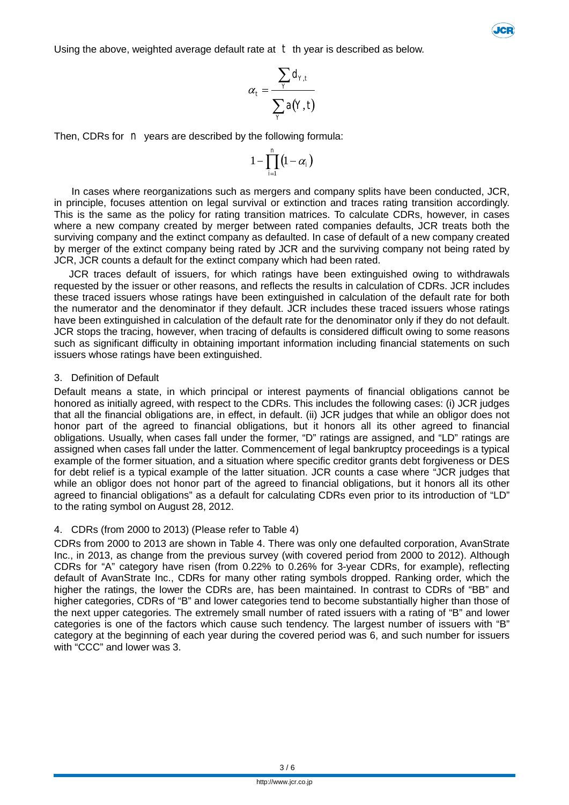Using the above, weighted average default rate at  $t$  th year is described as below.



**JCE** 

Then, CDRs for *n* years are described by the following formula:

$$
1-\prod_{i=1}^n \left(1-\alpha_i\right)
$$

In cases where reorganizations such as mergers and company splits have been conducted, JCR, in principle, focuses attention on legal survival or extinction and traces rating transition accordingly. This is the same as the policy for rating transition matrices. To calculate CDRs, however, in cases where a new company created by merger between rated companies defaults, JCR treats both the surviving company and the extinct company as defaulted. In case of default of a new company created by merger of the extinct company being rated by JCR and the surviving company not being rated by JCR, JCR counts a default for the extinct company which had been rated.

JCR traces default of issuers, for which ratings have been extinguished owing to withdrawals requested by the issuer or other reasons, and reflects the results in calculation of CDRs. JCR includes these traced issuers whose ratings have been extinguished in calculation of the default rate for both the numerator and the denominator if they default. JCR includes these traced issuers whose ratings have been extinguished in calculation of the default rate for the denominator only if they do not default. JCR stops the tracing, however, when tracing of defaults is considered difficult owing to some reasons such as significant difficulty in obtaining important information including financial statements on such issuers whose ratings have been extinguished.

#### 3. Definition of Default

Default means a state, in which principal or interest payments of financial obligations cannot be honored as initially agreed, with respect to the CDRs. This includes the following cases: (i) JCR judges that all the financial obligations are, in effect, in default. (ii) JCR judges that while an obligor does not honor part of the agreed to financial obligations, but it honors all its other agreed to financial obligations. Usually, when cases fall under the former, "D" ratings are assigned, and "LD" ratings are assigned when cases fall under the latter. Commencement of legal bankruptcy proceedings is a typical example of the former situation, and a situation where specific creditor grants debt forgiveness or DES for debt relief is a typical example of the latter situation. JCR counts a case where "JCR judges that while an obligor does not honor part of the agreed to financial obligations, but it honors all its other agreed to financial obligations" as a default for calculating CDRs even prior to its introduction of "LD" to the rating symbol on August 28, 2012.

#### 4. CDRs (from 2000 to 2013) (Please refer to Table 4)

CDRs from 2000 to 2013 are shown in Table 4. There was only one defaulted corporation, AvanStrate Inc., in 2013, as change from the previous survey (with covered period from 2000 to 2012). Although CDRs for "A" category have risen (from 0.22% to 0.26% for 3-year CDRs, for example), reflecting default of AvanStrate Inc., CDRs for many other rating symbols dropped. Ranking order, which the higher the ratings, the lower the CDRs are, has been maintained. In contrast to CDRs of "BB" and higher categories, CDRs of "B" and lower categories tend to become substantially higher than those of the next upper categories. The extremely small number of rated issuers with a rating of "B" and lower categories is one of the factors which cause such tendency. The largest number of issuers with "B" category at the beginning of each year during the covered period was 6, and such number for issuers with "CCC" and lower was 3.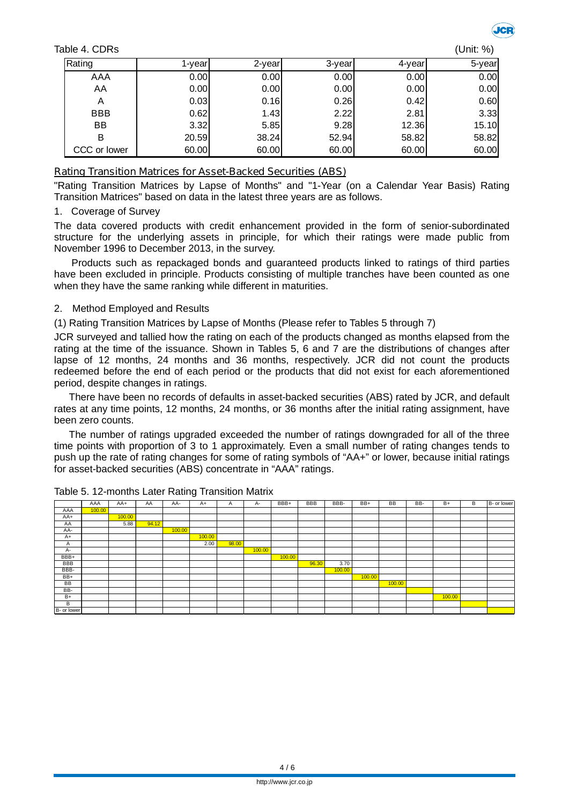Table 4. CDRs (Unit: %)



| Rating       | l-vearl | 2-year | 3-year | 4-year | 5-year |
|--------------|---------|--------|--------|--------|--------|
| AAA          | 0.00    | 0.00   | 0.00   | 0.00   | 0.00   |
| AA           | 0.00    | 0.00   | 0.00   | 0.00   | 0.00   |
| A            | 0.03    | 0.16   | 0.26   | 0.42   | 0.60   |
| <b>BBB</b>   | 0.62    | 1.43   | 2.22   | 2.81   | 3.33   |
| <b>BB</b>    | 3.32    | 5.85   | 9.28   | 12.36  | 15.10  |
| в            | 20.59   | 38.24  | 52.94  | 58.82  | 58.82  |
| CCC or lower | 60.00   | 60.00  | 60.00  | 60.00  | 60.00  |

## **Rating Transition Matrices for Asset-Backed Securities (ABS)**

"Rating Transition Matrices by Lapse of Months" and "1-Year (on a Calendar Year Basis) Rating Transition Matrices" based on data in the latest three years are as follows.

## 1. Coverage of Survey

The data covered products with credit enhancement provided in the form of senior-subordinated structure for the underlying assets in principle, for which their ratings were made public from November 1996 to December 2013, in the survey.

Products such as repackaged bonds and guaranteed products linked to ratings of third parties have been excluded in principle. Products consisting of multiple tranches have been counted as one when they have the same ranking while different in maturities.

## 2. Method Employed and Results

(1) Rating Transition Matrices by Lapse of Months (Please refer to Tables 5 through 7)

JCR surveyed and tallied how the rating on each of the products changed as months elapsed from the rating at the time of the issuance. Shown in Tables 5, 6 and 7 are the distributions of changes after lapse of 12 months, 24 months and 36 months, respectively. JCR did not count the products redeemed before the end of each period or the products that did not exist for each aforementioned period, despite changes in ratings.

There have been no records of defaults in asset-backed securities (ABS) rated by JCR, and default rates at any time points, 12 months, 24 months, or 36 months after the initial rating assignment, have been zero counts.

The number of ratings upgraded exceeded the number of ratings downgraded for all of the three time points with proportion of 3 to 1 approximately. Even a small number of rating changes tends to push up the rate of rating changes for some of rating symbols of "AA+" or lower, because initial ratings for asset-backed securities (ABS) concentrate in "AAA" ratings.

|             | AAA    | AA+    | AA    | AA-    | $A+$   | A     | A-     | BBB+   | <b>BBB</b> | BBB-   | BB+    | <b>BB</b> | BB- | $B+$   | B | B- or lower |
|-------------|--------|--------|-------|--------|--------|-------|--------|--------|------------|--------|--------|-----------|-----|--------|---|-------------|
| AAA         | 100.00 |        |       |        |        |       |        |        |            |        |        |           |     |        |   |             |
| AA+         |        | 100.00 |       |        |        |       |        |        |            |        |        |           |     |        |   |             |
| AA          |        | 5.88   | 94.12 |        |        |       |        |        |            |        |        |           |     |        |   |             |
| AA-         |        |        |       | 100.00 |        |       |        |        |            |        |        |           |     |        |   |             |
| $A+$        |        |        |       |        | 100.00 |       |        |        |            |        |        |           |     |        |   |             |
| A           |        |        |       |        | 2.00   | 98.00 |        |        |            |        |        |           |     |        |   |             |
| A-          |        |        |       |        |        |       | 100.00 |        |            |        |        |           |     |        |   |             |
| BBB+        |        |        |       |        |        |       |        | 100.00 |            |        |        |           |     |        |   |             |
| <b>BBB</b>  |        |        |       |        |        |       |        |        | 96.30      | 3.70   |        |           |     |        |   |             |
| BBB-        |        |        |       |        |        |       |        |        |            | 100.00 |        |           |     |        |   |             |
| $BB+$       |        |        |       |        |        |       |        |        |            |        | 100.00 |           |     |        |   |             |
| BB          |        |        |       |        |        |       |        |        |            |        |        | 100.00    |     |        |   |             |
| BB-         |        |        |       |        |        |       |        |        |            |        |        |           |     |        |   |             |
| $B+$        |        |        |       |        |        |       |        |        |            |        |        |           |     | 100.00 |   |             |
| B           |        |        |       |        |        |       |        |        |            |        |        |           |     |        |   |             |
| B- or lower |        |        |       |        |        |       |        |        |            |        |        |           |     |        |   |             |

Table 5. 12-months Later Rating Transition Matrix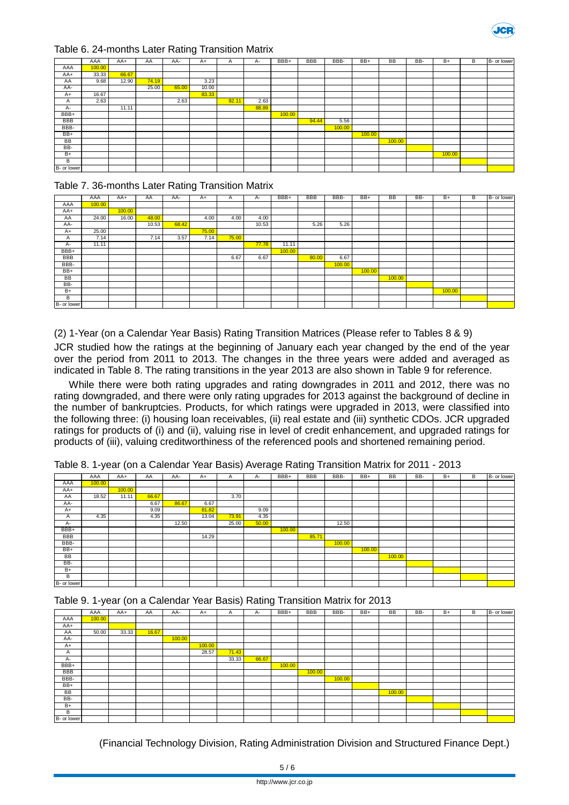

#### Table 6. 24-months Later Rating Transition Matrix

|             | AAA    | $AA+$ | AA    | AA-   | $A+$  | A    | А-    | BBB+   | <b>BBB</b> | BBB-   | $BB+$  | <b>BB</b> | BB- | $B +$  | B | B- or lower |
|-------------|--------|-------|-------|-------|-------|------|-------|--------|------------|--------|--------|-----------|-----|--------|---|-------------|
| AAA         | 100.00 |       |       |       |       |      |       |        |            |        |        |           |     |        |   |             |
| AA+         | 33.33  | 66.67 |       |       |       |      |       |        |            |        |        |           |     |        |   |             |
| AA          | 9.68   | 12.90 | 74.19 |       | 3.23  |      |       |        |            |        |        |           |     |        |   |             |
| AA-         |        |       | 25.00 | 65.00 | 10.00 |      |       |        |            |        |        |           |     |        |   |             |
| $A+$        | 16.67  |       |       |       | 83.33 |      |       |        |            |        |        |           |     |        |   |             |
| A           | 2.63   |       |       | 2.63  |       | 92.1 | 2.63  |        |            |        |        |           |     |        |   |             |
| A-          |        | 11.11 |       |       |       |      | 88.89 |        |            |        |        |           |     |        |   |             |
| BBB+        |        |       |       |       |       |      |       | 100.00 |            |        |        |           |     |        |   |             |
| <b>BBB</b>  |        |       |       |       |       |      |       |        | 94.44      | 5.56   |        |           |     |        |   |             |
| BBB-        |        |       |       |       |       |      |       |        |            | 100.00 |        |           |     |        |   |             |
| BB+         |        |       |       |       |       |      |       |        |            |        | 100.00 |           |     |        |   |             |
| <b>BB</b>   |        |       |       |       |       |      |       |        |            |        |        | 100.00    |     |        |   |             |
| BB-         |        |       |       |       |       |      |       |        |            |        |        |           |     |        |   |             |
| $B+$        |        |       |       |       |       |      |       |        |            |        |        |           |     | 100.00 |   |             |
| B           |        |       |       |       |       |      |       |        |            |        |        |           |     |        |   |             |
| B- or lower |        |       |       |       |       |      |       |        |            |        |        |           |     |        |   |             |

#### Table 7. 36-months Later Rating Transition Matrix

|             | AAA    | AA+    | AA    | AA-   | $A+$  | A     | А-    | BBB+   | <b>BBB</b> | BBB-   | BB+    | BB     | BB- | B+     | В | B- or lower |
|-------------|--------|--------|-------|-------|-------|-------|-------|--------|------------|--------|--------|--------|-----|--------|---|-------------|
| AAA         | 100.00 |        |       |       |       |       |       |        |            |        |        |        |     |        |   |             |
| AA+         |        | 100.00 |       |       |       |       |       |        |            |        |        |        |     |        |   |             |
| AA          | 24.00  | 16.00  | 48.00 |       | 4.00  | 4.00  | 4.00  |        |            |        |        |        |     |        |   |             |
| AA-         |        |        | 10.53 | 68.42 |       |       | 10.53 |        | 5.26       | 5.26   |        |        |     |        |   |             |
| A+          | 25.00  |        |       |       | 75.00 |       |       |        |            |        |        |        |     |        |   |             |
| A           | 7.14   |        | 7.14  | 3.57  | 7.14  | 75.00 |       |        |            |        |        |        |     |        |   |             |
| A-          | 11.11  |        |       |       |       |       | 77.78 | 11.11  |            |        |        |        |     |        |   |             |
| BBB+        |        |        |       |       |       |       |       | 100.00 |            |        |        |        |     |        |   |             |
| <b>BBB</b>  |        |        |       |       |       | 6.67  | 6.67  |        | 80.00      | 6.67   |        |        |     |        |   |             |
| BBB-        |        |        |       |       |       |       |       |        |            | 100.00 |        |        |     |        |   |             |
| BB+         |        |        |       |       |       |       |       |        |            |        | 100.00 |        |     |        |   |             |
| BB          |        |        |       |       |       |       |       |        |            |        |        | 100.00 |     |        |   |             |
| BB-         |        |        |       |       |       |       |       |        |            |        |        |        |     |        |   |             |
| $B+$        |        |        |       |       |       |       |       |        |            |        |        |        |     | 100.00 |   |             |
| B           |        |        |       |       |       |       |       |        |            |        |        |        |     |        |   |             |
| B- or lower |        |        |       |       |       |       |       |        |            |        |        |        |     |        |   |             |

(2) 1-Year (on a Calendar Year Basis) Rating Transition Matrices (Please refer to Tables 8 & 9)

JCR studied how the ratings at the beginning of January each year changed by the end of the year over the period from 2011 to 2013. The changes in the three years were added and averaged as indicated in Table 8. The rating transitions in the year 2013 are also shown in Table 9 for reference.

While there were both rating upgrades and rating downgrades in 2011 and 2012, there was no rating downgraded, and there were only rating upgrades for 2013 against the background of decline in the number of bankruptcies. Products, for which ratings were upgraded in 2013, were classified into the following three: (i) housing loan receivables, (ii) real estate and (iii) synthetic CDOs. JCR upgraded ratings for products of (i) and (ii), valuing rise in level of credit enhancement, and upgraded ratings for products of (iii), valuing creditworthiness of the referenced pools and shortened remaining period.

|  |  |  | Table 8. 1-year (on a Calendar Year Basis) Average Rating Transition Matrix for 2011 - 2013 |  |  |  |
|--|--|--|---------------------------------------------------------------------------------------------|--|--|--|
|--|--|--|---------------------------------------------------------------------------------------------|--|--|--|

|             | AAA    | AA+    | AA    | AA-   | $A+$  | A     | A-    | BBB+   | <b>BBB</b> | BBB-   | BB+    | BB     | BB- | $B+$ | B | B- or lower |
|-------------|--------|--------|-------|-------|-------|-------|-------|--------|------------|--------|--------|--------|-----|------|---|-------------|
|             |        |        |       |       |       |       |       |        |            |        |        |        |     |      |   |             |
| AAA         | 100.00 |        |       |       |       |       |       |        |            |        |        |        |     |      |   |             |
| AA+         |        | 100.00 |       |       |       |       |       |        |            |        |        |        |     |      |   |             |
| AA          | 18.52  | 11.11  | 66.67 |       |       | 3.70  |       |        |            |        |        |        |     |      |   |             |
| AA-         |        |        | 6.67  | 86.67 | 6.67  |       |       |        |            |        |        |        |     |      |   |             |
| $A+$        |        |        | 9.09  |       | 81.82 |       | 9.09  |        |            |        |        |        |     |      |   |             |
| A           | 4.35   |        | 4.35  |       | 13.04 | 73.91 | 4.35  |        |            |        |        |        |     |      |   |             |
| A-          |        |        |       | 12.50 |       | 25.00 | 50.00 |        |            | 12.50  |        |        |     |      |   |             |
| BBB+        |        |        |       |       |       |       |       | 100.00 |            |        |        |        |     |      |   |             |
| <b>BBB</b>  |        |        |       |       | 14.29 |       |       |        | 85.71      |        |        |        |     |      |   |             |
| BBB-        |        |        |       |       |       |       |       |        |            | 100.00 |        |        |     |      |   |             |
| BB+         |        |        |       |       |       |       |       |        |            |        | 100.00 |        |     |      |   |             |
| BB          |        |        |       |       |       |       |       |        |            |        |        | 100.00 |     |      |   |             |
| BB-         |        |        |       |       |       |       |       |        |            |        |        |        |     |      |   |             |
| $B+$        |        |        |       |       |       |       |       |        |            |        |        |        |     |      |   |             |
| B           |        |        |       |       |       |       |       |        |            |        |        |        |     |      |   |             |
| B- or lower |        |        |       |       |       |       |       |        |            |        |        |        |     |      |   |             |

Table 9. 1-year (on a Calendar Year Basis) Rating Transition Matrix for 2013

|              | $\sim$ | $\sim$ |       |        |        | $\overline{\phantom{a}}$ |       | $\tilde{\phantom{a}}$ |        |        |     |           |     |      |   |             |
|--------------|--------|--------|-------|--------|--------|--------------------------|-------|-----------------------|--------|--------|-----|-----------|-----|------|---|-------------|
|              | AAA    | AA+    | AA    | AA-    | A+     | A                        | $A-$  | BBB+                  | BBB    | BBB-   | BB+ | <b>BB</b> | BB- | $B+$ | В | B- or lower |
| AAA          | 100.00 |        |       |        |        |                          |       |                       |        |        |     |           |     |      |   |             |
| AA+          |        |        |       |        |        |                          |       |                       |        |        |     |           |     |      |   |             |
| AA           | 50.00  | 33.33  | 16.67 |        |        |                          |       |                       |        |        |     |           |     |      |   |             |
| AA-          |        |        |       | 100.00 |        |                          |       |                       |        |        |     |           |     |      |   |             |
| $A+$         |        |        |       |        | 100.00 |                          |       |                       |        |        |     |           |     |      |   |             |
| $\mathsf{A}$ |        |        |       |        | 28.57  | 71.43                    |       |                       |        |        |     |           |     |      |   |             |
| A-           |        |        |       |        |        | 33.33                    | 66.67 |                       |        |        |     |           |     |      |   |             |
| BBB+         |        |        |       |        |        |                          |       | 100.00                |        |        |     |           |     |      |   |             |
| <b>BBB</b>   |        |        |       |        |        |                          |       |                       | 100.00 |        |     |           |     |      |   |             |
| BBB-         |        |        |       |        |        |                          |       |                       |        | 100.00 |     |           |     |      |   |             |
| BB+          |        |        |       |        |        |                          |       |                       |        |        |     |           |     |      |   |             |
| BB           |        |        |       |        |        |                          |       |                       |        |        |     | 100.00    |     |      |   |             |
| BB-          |        |        |       |        |        |                          |       |                       |        |        |     |           |     |      |   |             |
| $B+$         |        |        |       |        |        |                          |       |                       |        |        |     |           |     |      |   |             |
| В            |        |        |       |        |        |                          |       |                       |        |        |     |           |     |      |   |             |
| B- or lower  |        |        |       |        |        |                          |       |                       |        |        |     |           |     |      |   |             |

(Financial Technology Division, Rating Administration Division and Structured Finance Dept.)